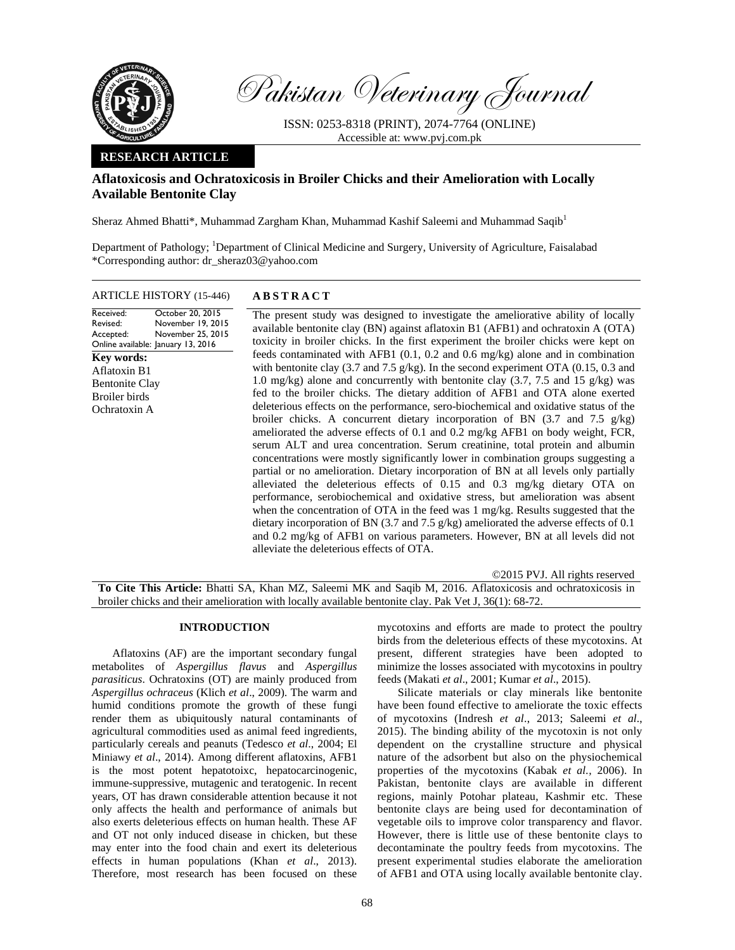

Pakistan Veterinary Journal

ISSN: 0253-8318 (PRINT), 2074-7764 (ONLINE) Accessible at: www.pvj.com.pk

## **RESEARCH ARTICLE**

# **Aflatoxicosis and Ochratoxicosis in Broiler Chicks and their Amelioration with Locally Available Bentonite Clay**

Sheraz Ahmed Bhatti\*, Muhammad Zargham Khan, Muhammad Kashif Saleemi and Muhammad Saqib<sup>1</sup>

Department of Pathology; <sup>1</sup>Department of Clinical Medicine and Surgery, University of Agriculture, Faisalabad \*Corresponding author: dr\_sheraz03@yahoo.com

ARTICLE HISTORY (15-446) **ABSTRACT** 

Received: Revised: Accepted: Online available: January 13, 2016 October 20, 2015 November 19, 2015 November 25, 2015 The present study was designed to investigate the ameliorative ability of locally available bentonite clay (BN) against aflatoxin B1 (AFB1) and ochratoxin A (OTA) toxicity in broiler chicks. In the first experiment the broiler chicks were kept on feeds contaminated with AFB1 (0.1, 0.2 and 0.6 mg/kg) alone and in combination with bentonite clay (3.7 and 7.5 g/kg). In the second experiment OTA (0.15, 0.3 and 1.0 mg/kg) alone and concurrently with bentonite clay (3.7, 7.5 and 15 g/kg) was fed to the broiler chicks. The dietary addition of AFB1 and OTA alone exerted deleterious effects on the performance, sero-biochemical and oxidative status of the broiler chicks. A concurrent dietary incorporation of BN (3.7 and 7.5 g/kg) ameliorated the adverse effects of 0.1 and 0.2 mg/kg AFB1 on body weight, FCR, serum ALT and urea concentration. Serum creatinine, total protein and albumin concentrations were mostly significantly lower in combination groups suggesting a partial or no amelioration. Dietary incorporation of BN at all levels only partially alleviated the deleterious effects of 0.15 and 0.3 mg/kg dietary OTA on performance, serobiochemical and oxidative stress, but amelioration was absent when the concentration of OTA in the feed was 1 mg/kg. Results suggested that the dietary incorporation of BN (3.7 and 7.5 g/kg) ameliorated the adverse effects of 0.1 and 0.2 mg/kg of AFB1 on various parameters. However, BN at all levels did not alleviate the deleterious effects of OTA. **Key words:**  Aflatoxin B1 Bentonite Clay Broiler birds Ochratoxin A

©2015 PVJ. All rights reserved **To Cite This Article:** Bhatti SA, Khan MZ, Saleemi MK and Saqib M, 2016. Aflatoxicosis and ochratoxicosis in broiler chicks and their amelioration with locally available bentonite clay. Pak Vet J, 36(1): 68-72.

## **INTRODUCTION**

Aflatoxins (AF) are the important secondary fungal metabolites of *Aspergillus flavus* and *Aspergillus parasiticus*. Ochratoxins (OT) are mainly produced from *Aspergillus ochraceus* (Klich *et al*., 2009). The warm and humid conditions promote the growth of these fungi render them as ubiquitously natural contaminants of agricultural commodities used as animal feed ingredients, particularly cereals and peanuts (Tedesco *et al*., 2004; El Miniawy *et al*., 2014). Among different aflatoxins, AFB1 is the most potent hepatotoixc, hepatocarcinogenic, immune-suppressive, mutagenic and teratogenic. In recent years, OT has drawn considerable attention because it not only affects the health and performance of animals but also exerts deleterious effects on human health. These AF and OT not only induced disease in chicken, but these may enter into the food chain and exert its deleterious effects in human populations (Khan *et al*., 2013). Therefore, most research has been focused on these

mycotoxins and efforts are made to protect the poultry birds from the deleterious effects of these mycotoxins. At present, different strategies have been adopted to minimize the losses associated with mycotoxins in poultry feeds (Makati *et al*., 2001; Kumar *et al*., 2015).

Silicate materials or clay minerals like bentonite have been found effective to ameliorate the toxic effects of mycotoxins (Indresh *et al*., 2013; Saleemi *et al*., 2015). The binding ability of the mycotoxin is not only dependent on the crystalline structure and physical nature of the adsorbent but also on the physiochemical properties of the mycotoxins (Kabak *et al.,* 2006). In Pakistan, bentonite clays are available in different regions, mainly Potohar plateau, Kashmir etc. These bentonite clays are being used for decontamination of vegetable oils to improve color transparency and flavor. However, there is little use of these bentonite clays to decontaminate the poultry feeds from mycotoxins. The present experimental studies elaborate the amelioration of AFB1 and OTA using locally available bentonite clay.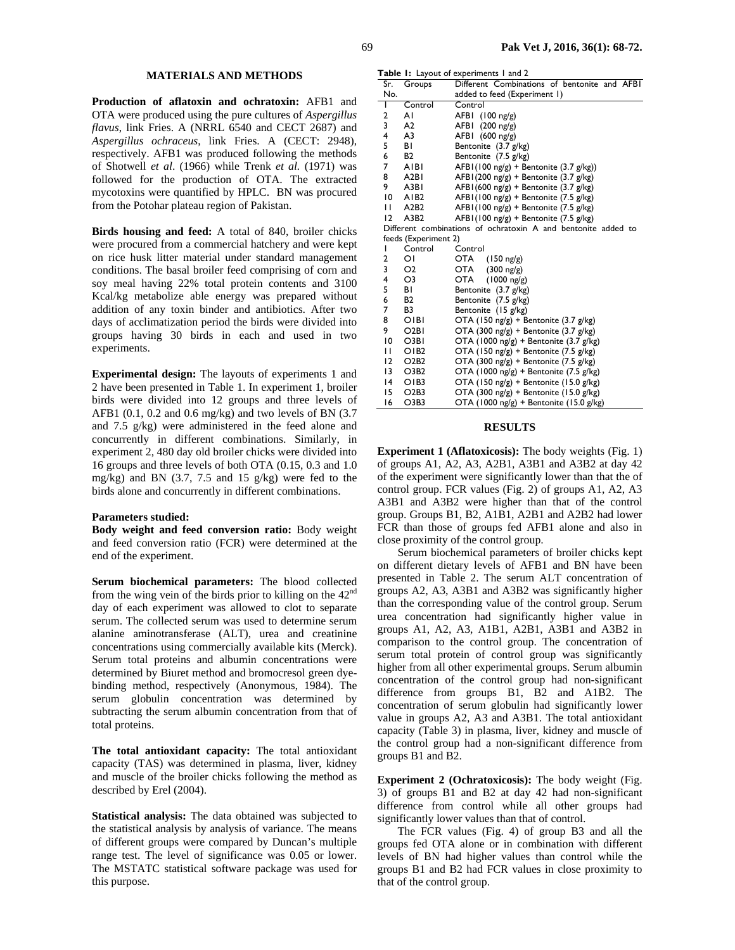## **MATERIALS AND METHODS**

**Production of aflatoxin and ochratoxin:** AFB1 and OTA were produced using the pure cultures of *Aspergillus flavus*, link Fries. A (NRRL 6540 and CECT 2687) and *Aspergillus ochraceus*, link Fries. A (CECT: 2948), respectively. AFB1 was produced following the methods of Shotwell *et al*. (1966) while Trenk *et al.* (1971) was followed for the production of OTA. The extracted mycotoxins were quantified by HPLC. BN was procured from the Potohar plateau region of Pakistan.

**Birds housing and feed:** A total of 840, broiler chicks were procured from a commercial hatchery and were kept on rice husk litter material under standard management conditions. The basal broiler feed comprising of corn and soy meal having 22% total protein contents and 3100 Kcal/kg metabolize able energy was prepared without addition of any toxin binder and antibiotics. After two days of acclimatization period the birds were divided into groups having 30 birds in each and used in two experiments.

**Experimental design:** The layouts of experiments 1 and 2 have been presented in Table 1. In experiment 1, broiler birds were divided into 12 groups and three levels of AFB1  $(0.1, 0.2 \text{ and } 0.6 \text{ mg/kg})$  and two levels of BN  $(3.7)$ and 7.5 g/kg) were administered in the feed alone and concurrently in different combinations. Similarly, in experiment 2, 480 day old broiler chicks were divided into 16 groups and three levels of both OTA (0.15, 0.3 and 1.0 mg/kg) and BN (3.7, 7.5 and 15 g/kg) were fed to the birds alone and concurrently in different combinations.

#### **Parameters studied:**

**Body weight and feed conversion ratio:** Body weight and feed conversion ratio (FCR) were determined at the end of the experiment.

**Serum biochemical parameters:** The blood collected from the wing vein of the birds prior to killing on the 42nd day of each experiment was allowed to clot to separate serum. The collected serum was used to determine serum alanine aminotransferase (ALT), urea and creatinine concentrations using commercially available kits (Merck). Serum total proteins and albumin concentrations were determined by Biuret method and bromocresol green dyebinding method, respectively (Anonymous, 1984). The serum globulin concentration was determined by subtracting the serum albumin concentration from that of total proteins.

**The total antioxidant capacity:** The total antioxidant capacity (TAS) was determined in plasma, liver, kidney and muscle of the broiler chicks following the method as described by Erel (2004).

**Statistical analysis:** The data obtained was subjected to the statistical analysis by analysis of variance. The means of different groups were compared by Duncan's multiple range test. The level of significance was 0.05 or lower. The MSTATC statistical software package was used for this purpose.

**Table 1:** Layout of experiments 1 and 2

| Sr.            | Groups                        | <b>rable 1.</b> Layout of experiments raily 2<br>Different Combinations of bentonite and AFBI |
|----------------|-------------------------------|-----------------------------------------------------------------------------------------------|
| No.            |                               | added to feed (Experiment 1)                                                                  |
| Τ              | Control                       | Control                                                                                       |
| 2              | ΑI                            | $(100 \text{ ng/g})$<br>AFBI                                                                  |
| 3              | A <sub>2</sub>                | AFBI<br>$(200 \text{ ng/g})$                                                                  |
| 4              | A3                            | $AFBI$ (600 ng/g)                                                                             |
| 5              | ΒI                            | Bentonite (3.7 g/kg)                                                                          |
| 6              | <b>B2</b>                     | Bentonite (7.5 g/kg)                                                                          |
| 7              | <b>AIBI</b>                   | AFBI(100 ng/g) + Bentonite (3.7 g/kg))                                                        |
| 8              | A <sub>2</sub> BI             | $AFBI (200 ng/g) + Bentonic (3.7 g/kg)$                                                       |
| 9              | A3BI                          | $AFBI (600 ng/g) + Bentonic (3.7 g/kg)$                                                       |
| $\overline{0}$ | AIB <sub>2</sub>              | $AFBI(100 \text{ ng/g}) + Bentonic (7.5 g/kg)$                                                |
| $\mathbf{H}$   | A2B2                          | $AFBI(100 \text{ ng/g}) + Bentonic (7.5 g/kg)$                                                |
| 12             | A3B2                          | $AFBI(100 \text{ ng/g}) + Bentonic (7.5 g/kg)$                                                |
|                |                               | Different combinations of ochratoxin A and bentonite added to                                 |
|                | feeds (Experiment 2)          |                                                                                               |
| $\mathsf{I}$   | Control                       | Control                                                                                       |
| 2              | $\overline{O}$                | OTA<br>$(150 \text{ ng/g})$                                                                   |
| 3              | O <sub>2</sub>                | OTA<br>$(300 \text{ ng/g})$                                                                   |
| 4              | O3                            | OTA<br>$(1000 \text{ ng/g})$                                                                  |
| 5              | ΒI                            | Bentonite (3.7 g/kg)                                                                          |
| 6              | <b>B2</b>                     | Bentonite (7.5 g/kg)                                                                          |
| 7              | B <sub>3</sub>                | Bentonite (15 g/kg)                                                                           |
| 8              | OIBI                          | OTA (150 ng/g) + Bentonite (3.7 g/kg)                                                         |
| 9              | O <sub>2</sub> BI             | OTA (300 ng/g) + Bentonite (3.7 g/kg)                                                         |
| $\overline{0}$ | O3BI                          | OTA (1000 ng/g) + Bentonite (3.7 g/kg)                                                        |
| $\mathbf{H}$   | OIB2                          | OTA (150 ng/g) + Bentonite (7.5 g/kg)                                                         |
| 12             | O <sub>2</sub> B <sub>2</sub> | OTA (300 ng/g) + Bentonite (7.5 g/kg)                                                         |
| 13             | O3B2                          | OTA (1000 ng/g) + Bentonite (7.5 g/kg)                                                        |
| 4              | OIB3                          | OTA (150 ng/g) + Bentonite (15.0 g/kg)                                                        |
| 15             | O2B3                          | OTA (300 ng/g) + Bentonite (15.0 g/kg)                                                        |
| 16             | O3B3                          | OTA (1000 ng/g) + Bentonite (15.0 g/kg)                                                       |

### **RESULTS**

**Experiment 1 (Aflatoxicosis):** The body weights (Fig. 1) of groups A1, A2, A3, A2B1, A3B1 and A3B2 at day 42 of the experiment were significantly lower than that the of control group. FCR values (Fig. 2) of groups A1, A2, A3 A3B1 and A3B2 were higher than that of the control group. Groups B1, B2, A1B1, A2B1 and A2B2 had lower FCR than those of groups fed AFB1 alone and also in close proximity of the control group.

Serum biochemical parameters of broiler chicks kept on different dietary levels of AFB1 and BN have been presented in Table 2. The serum ALT concentration of groups A2, A3, A3B1 and A3B2 was significantly higher than the corresponding value of the control group. Serum urea concentration had significantly higher value in groups A1, A2, A3, A1B1, A2B1, A3B1 and A3B2 in comparison to the control group. The concentration of serum total protein of control group was significantly higher from all other experimental groups. Serum albumin concentration of the control group had non-significant difference from groups B1, B2 and A1B2. The concentration of serum globulin had significantly lower value in groups A2, A3 and A3B1. The total antioxidant capacity (Table 3) in plasma, liver, kidney and muscle of the control group had a non-significant difference from groups B1 and B2.

**Experiment 2 (Ochratoxicosis):** The body weight (Fig. 3) of groups B1 and B2 at day 42 had non-significant difference from control while all other groups had significantly lower values than that of control.

The FCR values (Fig. 4) of group B3 and all the groups fed OTA alone or in combination with different levels of BN had higher values than control while the groups B1 and B2 had FCR values in close proximity to that of the control group.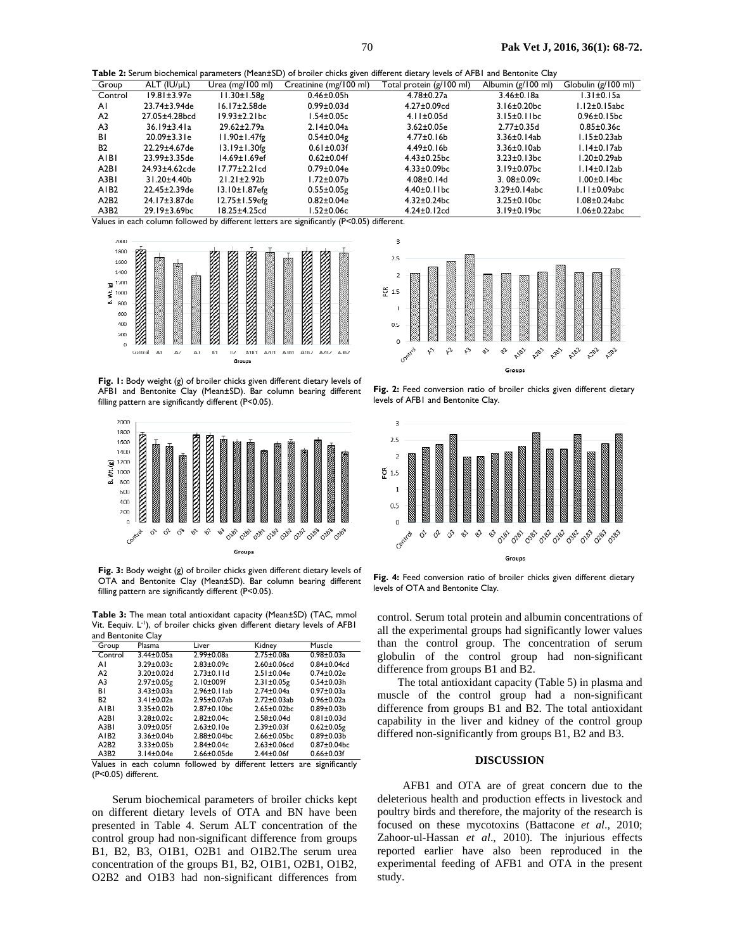**Table 2:** Serum biochemical parameters (Mean±SD) of broiler chicks given different dietary levels of AFB1 and Bentonite Clay

| Group             | ALT (IU/µL)         | Urea $(mg/100 \text{ ml})$ | Creatinine (mg/100 ml) | Total protein (g/100 ml) | Albumin (g/100 ml) | Globulin (g/100 ml) |
|-------------------|---------------------|----------------------------|------------------------|--------------------------|--------------------|---------------------|
| Control           | 19.81±3.97e         | $11.30 \pm 1.58$ g         | $0.46 \pm 0.05h$       | $4.78 \pm 0.27$ a        | 3.46±0.18a         | $1.31 \pm 0.15a$    |
| ΑI                | 23.74±3.94de        | $16.17 \pm 2.58$ de        | $0.99 \pm 0.03$ d      | $4.27 \pm 0.09$ cd       | $3.16 \pm 0.20$ bc | $1.12\pm0.15$ abc   |
| A2                | 27.05±4.28bcd       | $19.93 \pm 2.2$ lbc        | 1.54±0.05c             | $4.11 \pm 0.05$ d        | $3.15\pm0.11bc$    | $0.96 \pm 0.15$ bc  |
| A <sub>3</sub>    | $36.19 \pm 3.41a$   | 29.62±2.79a                | $2.14 \pm 0.04$ a      | $3.62 \pm 0.05e$         | $2.77 \pm 0.35$ d  | $0.85 \pm 0.36c$    |
| ΒI                | $20.09 \pm 3.31$ e  | $11.90 \pm 1.47$ fg        | $0.54 \pm 0.04$ g      | $4.77 \pm 0.16 b$        | $3.36 \pm 0.14$ ab | I.I5±0.23ab         |
| <b>B2</b>         | 22.29±4.67de        | $13.19 \pm 1.30$ fg        | $0.61 \pm 0.03$ f      | $4.49 \pm 0.16 b$        | 3.36±0.10ab        | I.14±0.17ab         |
| AIBI              | $23.99 \pm 3.35$ de | $14.69 \pm 1.69$ ef        | $0.62 \pm 0.04$ f      | $4.43 \pm 0.25$ bc       | $3.23 \pm 0.13$ bc | l.20±0.29ab         |
| A <sub>2</sub> BI | 24.93±4.62cde       | $17.77 \pm 2.2$ cd         | $0.79 \pm 0.04e$       | $4.33 \pm 0.09$ bc       | $3.19 \pm 0.07$ bc | $1.14\pm0.12ab$     |
| A3BI              | $31.20 + 4.40$      | $21.21 \pm 2.92b$          | l.72±0.07b             | $4.08 \pm 0.14$ d        | $3.08 \pm 0.09c$   | l.00±0.14bc         |
| AIB <sub>2</sub>  | 22.45±2.39de        | 13.10±1.87efg              | $0.55 \pm 0.05$ g      | $4.40\pm0.11bc$          | 3.29±0.14abc       | $1.11 \pm 0.09$ abc |
| A2B2              | 24.17±3.87de        | 12.75±1.59efg              | $0.82 \pm 0.04e$       | $4.32 \pm 0.24$ bc       | $3.25 \pm 0.10$ bc | .08±0.24abc         |
| A3B <sub>2</sub>  | 29.19±3.69bc        | 18.25±4.25cd               | l.52±0.06c             | $4.24 \pm 0.12$ cd       | $3.19 \pm 0.19$ bc | $.06\pm0.22$ abc    |

Values in each column followed by different letters are significantly (P<0.05) different.



Fig. 1: Body weight (g) of broiler chicks given different dietary levels of AFB1 and Bentonite Clay (Mean±SD). Bar column bearing different filling pattern are significantly different (P<0.05).



**Fig. 3:** Body weight (g) of broiler chicks given different dietary levels of OTA and Bentonite Clay (Mean±SD). Bar column bearing different filling pattern are significantly different (P<0.05).

**Table 3:** The mean total antioxidant capacity (Mean±SD) (TAC, mmol Vit. Eequiv. L<sup>-1</sup>), of broiler chicks given different dietary levels of AFB1 and Bentonite Clay

| Group            | Plasma            | Liver              | Kidney             | Muscle             |
|------------------|-------------------|--------------------|--------------------|--------------------|
| Control          | $3.44 \pm 0.05a$  | $2.99 \pm 0.08$ a  | $2.75 \pm 0.08a$   | $0.98 \pm 0.03a$   |
| ΑI               | $3.29 \pm 0.03c$  | $2.83 + 0.09c$     | $2.60 + 0.06$ cd   | $0.84 \pm 0.04$ cd |
| A <sub>2</sub>   | $3.20 \pm 0.02$ d | $2.73 \pm 0.11$ d  | $2.51 \pm 0.04e$   | $0.74 \pm 0.02e$   |
| A <sub>3</sub>   | $2.97 \pm 0.05$ g | $2.10 \pm 009$ f   | $2.31 \pm 0.05$ g  | $0.54 \pm 0.03 h$  |
| <b>BI</b>        | $3.43 \pm 0.03a$  | $2.96\pm0.1$ lab   | $2.74 \pm 0.04a$   | $0.97 \pm 0.03a$   |
| <b>B2</b>        | $3.41 \pm 0.02a$  | 2.95±0.07ab        | $2.72 \pm 0.03$ ab | $0.96 \pm 0.02a$   |
| AIBI             | $3.35 \pm 0.02 b$ | $2.87 \pm 0.10$ bc | $2.65 \pm 0.02$ bc | $0.89 \pm 0.03 b$  |
| A2B1             | $3.28 + 0.02c$    | $2.82 \pm 0.04c$   | $2.58 + 0.04d$     | $0.81 \pm 0.03$ d  |
| A3B1             | $3.09 \pm 0.05$ f | $2.63 \pm 0.10e$   | $2.39 \pm 0.03$ f  | $0.62 \pm 0.05$ g  |
| AIB <sub>2</sub> | $3.36 \pm 0.04$   | $2.88 \pm 0.04$ bc | $2.66 \pm 0.05$ bc | $0.89 \pm 0.03 b$  |
| A2B2             | $3.33 \pm 0.05 b$ | $2.84 \pm 0.04c$   | $2.63 \pm 0.06$ cd | $0.87 \pm 0.04$ bc |
| A3B2             | 3.14±0.04e        | $2.66 \pm 0.05$ de | $2.44 \pm 0.06$ f  | $0.66 \pm 0.03$ f  |

Values in each column followed by different letters are significantly (P<0.05) different.

Serum biochemical parameters of broiler chicks kept on different dietary levels of OTA and BN have been presented in Table 4. Serum ALT concentration of the control group had non-significant difference from groups B1, B2, B3, O1B1, O2B1 and O1B2.The serum urea concentration of the groups B1, B2, O1B1, O2B1, O1B2, O2B2 and O1B3 had non-significant differences from



Fig. 2: Feed conversion ratio of broiler chicks given different dietary levels of AFB1 and Bentonite Clay.



Fig. 4: Feed conversion ratio of broiler chicks given different dietary levels of OTA and Bentonite Clay.

control. Serum total protein and albumin concentrations of all the experimental groups had significantly lower values than the control group. The concentration of serum globulin of the control group had non-significant difference from groups B1 and B2.

The total antioxidant capacity (Table 5) in plasma and muscle of the control group had a non-significant difference from groups B1 and B2. The total antioxidant capability in the liver and kidney of the control group differed non-significantly from groups B1, B2 and B3.

### **DISCUSSION**

AFB1 and OTA are of great concern due to the deleterious health and production effects in livestock and poultry birds and therefore, the majority of the research is focused on these mycotoxins (Battacone *et al*., 2010; Zahoor-ul-Hassan *et al*., 2010). The injurious effects reported earlier have also been reproduced in the experimental feeding of AFB1 and OTA in the present study.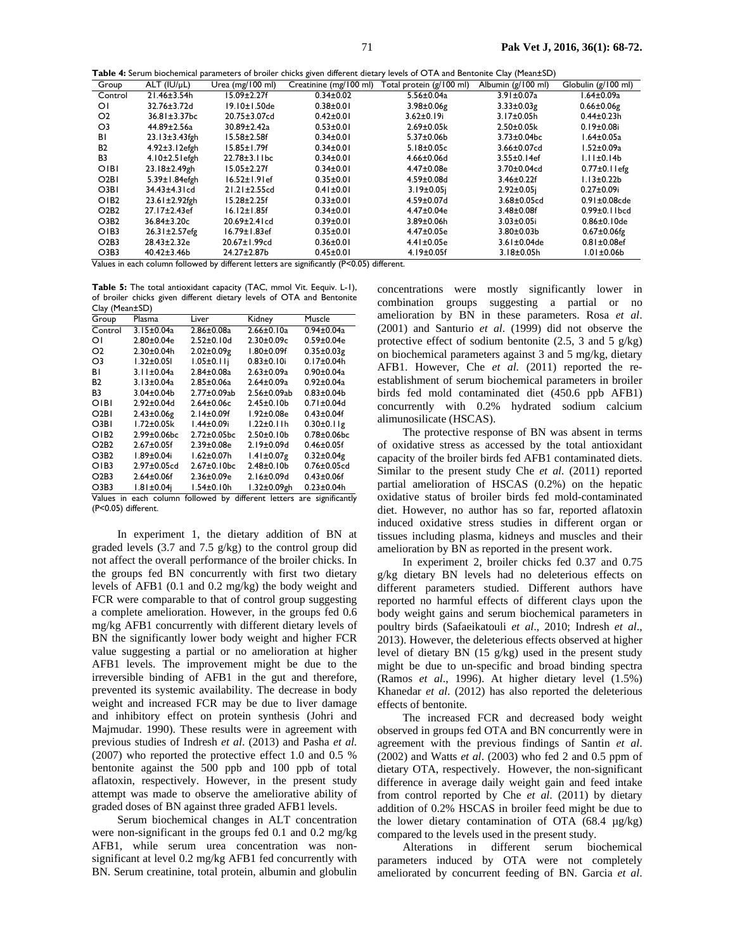| Table 4: Serum biochemical parameters of broiler chicks given different dietary levels of OTA and Bentonite Clay (Mean±SD) |  |
|----------------------------------------------------------------------------------------------------------------------------|--|
|----------------------------------------------------------------------------------------------------------------------------|--|

| <b>Fable</b> 4. Scram biochemical parameters of broner emeks given amereme aletal fields of OTTV and Bentomed Claf (FicanzisB) |                      |                            |                        |                          |                    |                      |
|--------------------------------------------------------------------------------------------------------------------------------|----------------------|----------------------------|------------------------|--------------------------|--------------------|----------------------|
| Group                                                                                                                          | $ALT$ ( $IU/uL$ )    | Urea $(mg/100 \text{ ml})$ | Creatinine (mg/100 ml) | Total protein (g/100 ml) | Albumin (g/100 ml) | Globulin (g/100 ml)  |
| Control                                                                                                                        | 21.46±3.54h          | $15.09 \pm 2.27f$          | $0.34 \pm 0.02$        | $5.56 \pm 0.04a$         | $3.91 \pm 0.07a$   | .64±0.09a            |
| ΟΙ                                                                                                                             | 32.76±3.72d          | 19.10±1.50de               | $0.38 \pm 0.01$        | $3.98 \pm 0.06$ g        | $3.33 \pm 0.03$ g  | $0.66 \pm 0.06$ g    |
| O <sub>2</sub>                                                                                                                 | 36.81±3.37bc         | 20.75±3.07cd               | $0.42 \pm 0.01$        | $3.62 \pm 0.19$ i        | $3.17 \pm 0.05$ h  | $0.44 \pm 0.23 h$    |
| O3                                                                                                                             | 44.89±2.56a          | 30.89±2.42a                | $0.53 \pm 0.01$        | $2.69 \pm 0.05k$         | $2.50 \pm 0.05k$   | $0.19 \pm 0.08$ i    |
| ΒI                                                                                                                             | $23.13 \pm 3.43$ fgh | $15.58 \pm 2.58$ f         | $0.34 \pm 0.01$        | $5.37 \pm 0.06$          | $3.73 \pm 0.04$ bc | $1.64 \pm 0.05a$     |
| <b>B2</b>                                                                                                                      | $4.92 \pm 3.12$ efgh | $15.85 \pm 1.79f$          | $0.34 \pm 0.01$        | $5.18 \pm 0.05c$         | 3.66±0.07cd        | $1.52 \pm 0.09a$     |
| B3                                                                                                                             | $4.10 \pm 2.5$ lefgh | $22.78 \pm 3.1$ l bc       | $0.34 \pm 0.01$        | $4.66 \pm 0.06$ d        | $3.55 \pm 0.14$ ef | $1.11 \pm 0.14b$     |
| OIBI                                                                                                                           | 23.18±2.49gh         | $15.05 \pm 2.27f$          | $0.34 \pm 0.01$        | 4.47±0.08e               | $3.70 \pm 0.04$ cd | $0.77\pm0.1$ lefg    |
| O <sub>2</sub> B <sub>1</sub>                                                                                                  | 5.39±1.84efgh        | $16.52 \pm 1.9$ lef        | $0.35 \pm 0.01$        | $4.59 \pm 0.08$ d        | $3.46 \pm 0.22$ f  | $1.13 \pm 0.22 b$    |
| O3BI                                                                                                                           | 34.43±4.31cd         | $21.21 \pm 2.55$ cd        | $0.41 \pm 0.01$        | $3.19 \pm 0.05$ i        | $2.92 \pm 0.05$ i  | $0.27 \pm 0.09$ i    |
| OIB2                                                                                                                           | 23.61±2.92fgh        | $15.28 \pm 2.25f$          | $0.33 \pm 0.01$        | $4.59 \pm 0.07$ d        | $3.68 \pm 0.05$ cd | $0.91 \pm 0.08$ cde  |
| O <sub>2</sub> B <sub>2</sub>                                                                                                  | 27.17±2.43ef         | $16.12 \pm 1.85f$          | $0.34 \pm 0.01$        | 4.47±0.04e               | $3.48 + 0.08f$     | $0.99 \pm 0.1$ I bcd |
| O3B <sub>2</sub>                                                                                                               | 36.84±3.20c          | 20.69±2.41cd               | $0.39 \pm 0.01$        | 3.89±0.06h               | $3.03 \pm 0.05$ i  | $0.86 \pm 0.10$ de   |
| OIB3                                                                                                                           | $26.31 \pm 2.57$ efg | $16.79 \pm 1.83$ ef        | $0.35 \pm 0.01$        | 4.47±0.05e               | $3.80 \pm 0.03 b$  | $0.67 \pm 0.06$ fg   |
| O2B3                                                                                                                           | 28.43±2.32e          | 20.67±1.99cd               | $0.36 \pm 0.01$        | $4.41 \pm 0.05e$         | $3.61 \pm 0.04$ de | $0.81 \pm 0.08$ ef   |
| O3B3                                                                                                                           | $40.42 \pm 3.46 b$   | 24.27±2.87b                | $0.45 \pm 0.01$        | $4.19 \pm 0.05$ f        | $3.18 \pm 0.05h$   | 1.01±0.06b           |

Values in each column followed by different letters are significantly (P<0.05) different.

**Table 5:** The total antioxidant capacity (TAC, mmol Vit. Eequiv. L-1), of broiler chicks given different dietary levels of OTA and Bentonite Clay (Mean±SD)

| $\cup a$ (iii) $\cup a$ $\cup$ |                    |                    |                    |                                                                       |
|--------------------------------|--------------------|--------------------|--------------------|-----------------------------------------------------------------------|
| Group                          | Plasma             | Liver              | Kidney             | Muscle                                                                |
| Control                        | $3.15 \pm 0.04a$   | $2.86 \pm 0.08$ a  | $2.66 \pm 0.10a$   | $0.94 \pm 0.04a$                                                      |
| ΟI                             | $2.80 \pm 0.04e$   | $2.52 \pm 0.10$ d  | $2.30 \pm 0.09c$   | $0.59 \pm 0.04e$                                                      |
| O <sub>2</sub>                 | $2.30 \pm 0.04$ h  | $2.02 \pm 0.09$ g  | $1.80 \pm 0.09$ f  | $0.35 \pm 0.03$ g                                                     |
| O3                             | $1.32 \pm 0.051$   | $1.05 \pm 0.11$    | $0.83 \pm 0.10$ i  | $0.17 \pm 0.04$ h                                                     |
| ΒI                             | $3.11 \pm 0.04a$   | $2.84 \pm 0.08$ a  | $2.63 \pm 0.09a$   | $0.90 \pm 0.04a$                                                      |
| <b>B2</b>                      | $3.13 \pm 0.04a$   | 2.85±0.06a         | $2.64 \pm 0.09a$   | $0.92 \pm 0.04a$                                                      |
| B3                             | $3.04 \pm 0.04$    | $2.77 \pm 0.09$ ab | $2.56 \pm 0.09$ ab | $0.83 \pm 0.04$                                                       |
| OIBI                           | $2.92 \pm 0.04$ d  | $2.64 \pm 0.06c$   | $2.45 \pm 0.10$    | $0.71 \pm 0.04$ d                                                     |
| O <sub>2</sub> BI              | $2.43 \pm 0.06$ g  | $2.14 \pm 0.09$ f  | 1.92±0.08e         | $0.43 \pm 0.04$ f                                                     |
| O3BI                           | I.72±0.05k         | 1.44±0.09i         | $1.22 \pm 0.11h$   | $0.30 \pm 0.11$ g                                                     |
| OIB2                           | $2.99 \pm 0.06$ bc | $2.72 \pm 0.05$ bc | $2.50 \pm 0.10 b$  | $0.78 \pm 0.06$ bc                                                    |
| O2B2                           | $2.67 \pm 0.05$ f  | $2.39 \pm 0.08$ e  | $2.19 \pm 0.09$ d  | $0.46 \pm 0.05$ f                                                     |
| O <sub>3B2</sub>               | 1.89±0.04i         | $1.62 \pm 0.07$ h  | $1.41 \pm 0.07$ g  | $0.32 \pm 0.04$ g                                                     |
| OIB3                           | $2.97 \pm 0.05$ cd | $2.67 \pm 0.10$ bc | $2.48 \pm 0.10$    | $0.76 \pm 0.05$ cd                                                    |
| O2B3                           | $2.64 \pm 0.06$ f  | $2.36 \pm 0.09e$   | $2.16 \pm 0.09$ d  | $0.43 \pm 0.06$ f                                                     |
| O <sub>3B3</sub>               | $1.81 \pm 0.04$    | $1.54 \pm 0.10h$   | 1.32±0.09gh        | $0.23 \pm 0.04$ h                                                     |
|                                |                    |                    |                    | Volune in each column followed by different letters are significantly |

Values in each column followed by different letters are significantly (P<0.05) different.

In experiment 1, the dietary addition of BN at graded levels (3.7 and 7.5 g/kg) to the control group did not affect the overall performance of the broiler chicks. In the groups fed BN concurrently with first two dietary levels of AFB1 (0.1 and 0.2 mg/kg) the body weight and FCR were comparable to that of control group suggesting a complete amelioration. However, in the groups fed 0.6 mg/kg AFB1 concurrently with different dietary levels of BN the significantly lower body weight and higher FCR value suggesting a partial or no amelioration at higher AFB1 levels. The improvement might be due to the irreversible binding of AFB1 in the gut and therefore, prevented its systemic availability. The decrease in body weight and increased FCR may be due to liver damage and inhibitory effect on protein synthesis (Johri and Majmudar. 1990). These results were in agreement with previous studies of Indresh *et al*. (2013) and Pasha *et al.* (2007) who reported the protective effect 1.0 and 0.5 % bentonite against the 500 ppb and 100 ppb of total aflatoxin, respectively. However, in the present study attempt was made to observe the ameliorative ability of graded doses of BN against three graded AFB1 levels.

Serum biochemical changes in ALT concentration were non-significant in the groups fed 0.1 and 0.2 mg/kg AFB1, while serum urea concentration was nonsignificant at level 0.2 mg/kg AFB1 fed concurrently with BN. Serum creatinine, total protein, albumin and globulin concentrations were mostly significantly lower in combination groups suggesting a partial or no amelioration by BN in these parameters. Rosa *et al*. (2001) and Santurio *et al*. (1999) did not observe the protective effect of sodium bentonite  $(2.5, 3 \text{ and } 5 \text{ g/kg})$ on biochemical parameters against 3 and 5 mg/kg, dietary AFB1. However, Che *et al.* (2011) reported the reestablishment of serum biochemical parameters in broiler birds fed mold contaminated diet (450.6 ppb AFB1) concurrently with 0.2% hydrated sodium calcium alimunosilicate (HSCAS).

The protective response of BN was absent in terms of oxidative stress as accessed by the total antioxidant capacity of the broiler birds fed AFB1 contaminated diets. Similar to the present study Che *et al.* (2011) reported partial amelioration of HSCAS (0.2%) on the hepatic oxidative status of broiler birds fed mold-contaminated diet. However, no author has so far, reported aflatoxin induced oxidative stress studies in different organ or tissues including plasma, kidneys and muscles and their amelioration by BN as reported in the present work.

In experiment 2, broiler chicks fed 0.37 and 0.75 g/kg dietary BN levels had no deleterious effects on different parameters studied. Different authors have reported no harmful effects of different clays upon the body weight gains and serum biochemical parameters in poultry birds (Safaeikatouli *et al*., 2010; Indresh *et al*., 2013). However, the deleterious effects observed at higher level of dietary BN (15 g/kg) used in the present study might be due to un-specific and broad binding spectra (Ramos *et al*., 1996). At higher dietary level (1.5%) Khanedar *et al*. (2012) has also reported the deleterious effects of bentonite.

The increased FCR and decreased body weight observed in groups fed OTA and BN concurrently were in agreement with the previous findings of Santin *et al*. (2002) and Watts *et al*. (2003) who fed 2 and 0.5 ppm of dietary OTA, respectively. However, the non-significant difference in average daily weight gain and feed intake from control reported by Che *et al*. (2011) by dietary addition of 0.2% HSCAS in broiler feed might be due to the lower dietary contamination of OTA (68.4 µg/kg) compared to the levels used in the present study.

Alterations in different serum biochemical parameters induced by OTA were not completely ameliorated by concurrent feeding of BN. Garcia *et al*.